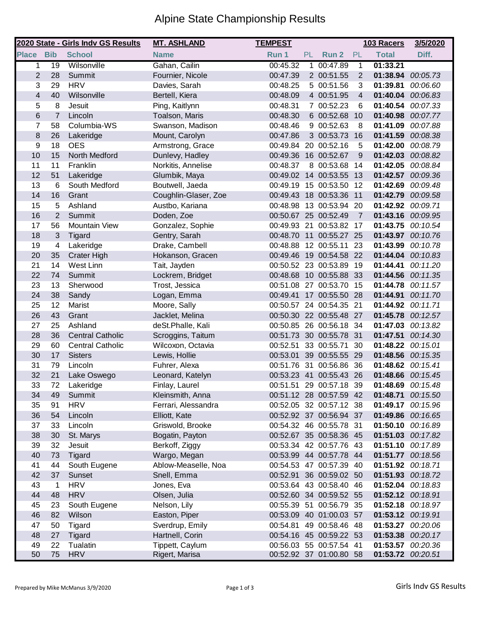## Alpine State Championship Results

|                         |                 | 2020 State - Girls Indv GS Results | <b>MT. ASHLAND</b>   | <b>TEMPEST</b>       |           |                         |                | 103 Racers        | 3/5/2020 |
|-------------------------|-----------------|------------------------------------|----------------------|----------------------|-----------|-------------------------|----------------|-------------------|----------|
| <b>Place Bib</b>        |                 | <b>School</b>                      | <b>Name</b>          | Run 1                | <b>PL</b> | Run 2                   | PL             | <b>Total</b>      | Diff.    |
| 1                       | $\overline{19}$ | Wilsonville                        | Gahan, Cailin        | 00:45.32             | 1         | 00:47.89                | $\mathbf{1}$   | 01:33.21          |          |
| $\overline{2}$          | 28              | Summit                             | Fournier, Nicole     | 00:47.39             |           | 2 00:51.55              | 2              | 01:38.94 00:05.73 |          |
| 3                       | 29              | <b>HRV</b>                         | Davies, Sarah        | 00:48.25             |           | 5 00:51.56              | 3              | 01:39.81          | 00:06.60 |
| $\overline{\mathbf{4}}$ | 40              | Wilsonville                        | Bertell, Kiera       | 00:48.09             |           | 4 00:51.95              | $\overline{4}$ | 01:40.04          | 00:06.83 |
| 5                       | 8               | Jesuit                             | Ping, Kaitlynn       | 00:48.31             |           | 7 00:52.23              | 6              | 01:40.54          | 00:07.33 |
| 6                       | $\overline{7}$  | Lincoln                            | Toalson, Maris       | 00:48.30             |           | 6 00:52.68              | 10             | 01:40.98          | 00:07.77 |
| $\overline{7}$          | 58              | Columbia-WS                        | Swanson, Madison     | 00:48.46             |           | 9 00:52.63              | 8              | 01:41.09          | 00:07.88 |
| 8                       | 26              | Lakeridge                          | Mount, Carolyn       | 00:47.86             |           | 3 00:53.73              | 16             | 01:41.59 00:08.38 |          |
| 9                       | 18              | <b>OES</b>                         | Armstrong, Grace     | 00:49.84             |           | 20 00:52.16             | 5              | 01:42.00 00:08.79 |          |
| 10                      | 15              | North Medford                      | Dunlevy, Hadley      | 00:49.36 16 00:52.67 |           |                         | 9              | 01:42.03 00:08.82 |          |
| 11                      | 11              | Franklin                           | Norkitis, Annelise   | 00:48.37             |           | 8 00:53.68              | 14             | 01:42.05 00:08.84 |          |
| 12                      | 51              | Lakeridge                          | Glumbik, Maya        |                      |           | 00:49.02 14 00:53.55    | 13             | 01:42.57          | 00:09.36 |
| 13                      | 6               | South Medford                      | Boutwell, Jaeda      |                      |           | 00:49.19 15 00:53.50 12 |                | 01:42.69 00:09.48 |          |
| 14                      | 16              | Grant                              | Coughlin-Glaser, Zoe |                      |           | 00:49.43 18 00:53.36    | 11             | 01:42.79          | 00:09.58 |
| 15                      | 5               | Ashland                            | Austbo, Kariana      |                      |           | 00:48.98 13 00:53.94    | 20             | 01:42.92 00:09.71 |          |
| 16                      | $\overline{2}$  | Summit                             | Doden, Zoe           | 00:50.67 25 00:52.49 |           |                         | $\overline{7}$ | 01:43.16 00:09.95 |          |
| 17                      | 56              | <b>Mountain View</b>               | Gonzalez, Sophie     |                      |           | 00:49.93 21 00:53.82 17 |                | 01:43.75 00:10.54 |          |
| 18                      | 3               | Tigard                             | Gentry, Sarah        | 00:48.70 11          |           | 00:55.27 25             |                | 01:43.97 00:10.76 |          |
| 19                      | 4               | Lakeridge                          | Drake, Cambell       |                      |           | 00:48.88 12 00:55.11    | 23             | 01:43.99          | 00:10.78 |
| 20                      | 35              | <b>Crater High</b>                 | Hokanson, Gracen     |                      |           | 00:49.46 19 00:54.58 22 |                | 01:44.04          | 00:10.83 |
| 21                      | 14              | West Linn                          | Tait, Jayden         |                      |           | 00:50.52 23 00:53.89    | 19             | 01:44.41          | 00:11.20 |
| 22                      | 74              | Summit                             | Lockrem, Bridget     |                      |           | 00:48.68 10 00:55.88    | 33             | 01:44.56          | 00:11.35 |
| 23                      | 13              | Sherwood                           | Trost, Jessica       |                      |           | 00:51.08 27 00:53.70    | 15             | 01:44.78          | 00:11.57 |
| 24                      | 38              | Sandy                              | Logan, Emma          |                      |           | 00:49.41 17 00:55.50    | 28             | 01:44.91          | 00:11.70 |
| 25                      | 12              | Marist                             | Moore, Sally         |                      |           | 00:50.57 24 00:54.35 21 |                | 01:44.92 00:11.71 |          |
| 26                      | 43              | Grant                              | Jacklet, Melina      |                      |           | 00:50.30 22 00:55.48 27 |                | 01:45.78 00:12.57 |          |
| 27                      | 25              | Ashland                            | deSt.Phalle, Kali    |                      |           | 00:50.85 26 00:56.18 34 |                | 01:47.03 00:13.82 |          |
| 28                      | 36              | <b>Central Catholic</b>            | Scroggins, Taitum    |                      |           | 00:51.73 30 00:55.78 31 |                | 01:47.51          | 00:14.30 |
| 29                      | 60              | <b>Central Catholic</b>            | Wilcoxon, Octavia    | 00:52.51             |           | 33 00:55.71             | 30             | 01:48.22 00:15.01 |          |
| 30                      | 17              | <b>Sisters</b>                     | Lewis, Hollie        | 00:53.01             |           | 39 00:55.55             | 29             | 01:48.56          | 00:15.35 |
| 31                      | 79              | Lincoln                            | Fuhrer, Alexa        | 00:51.76 31          |           | 00:56.86                | 36             | 01:48.62 00:15.41 |          |
| 32                      | 21              | Lake Oswego                        | Leonard, Katelyn     | 00:53.23 41          |           | 00:55.43                | 26             | 01:48.66 00:15.45 |          |
| 33                      | 72              | Lakeridge                          | Finlay, Laurel       |                      |           | 00:51.51 29 00:57.18 39 |                | 01:48.69 00:15.48 |          |
| 34                      | 49              | Summit                             | Kleinsmith, Anna     |                      |           | 00:51.12 28 00:57.59 42 |                | 01:48.71 00:15.50 |          |
| 35                      | 91              | <b>HRV</b>                         | Ferrari, Alessandra  |                      |           | 00:52.05 32 00:57.12 38 |                | 01:49.17 00:15.96 |          |
| 36                      | 54              | Lincoln                            | Elliott, Kate        |                      |           | 00:52.92 37 00:56.94 37 |                | 01:49.86 00:16.65 |          |
| 37                      | 33              | Lincoln                            | Griswold, Brooke     |                      |           | 00:54.32 46 00:55.78 31 |                | 01:50.10 00:16.89 |          |
| 38                      | 30              | St. Marys                          | Bogatin, Payton      |                      |           | 00:52.67 35 00:58.36 45 |                | 01:51.03 00:17.82 |          |
| 39                      | 32              | Jesuit                             | Berkoff, Ziggy       |                      |           | 00:53.34 42 00:57.76 43 |                | 01:51.10 00:17.89 |          |
| 40                      | 73              | <b>Tigard</b>                      | Wargo, Megan         |                      |           | 00:53.99 44 00:57.78 44 |                | 01:51.77 00:18.56 |          |
| 41                      | 44              | South Eugene                       | Ablow-Measelle, Noa  |                      |           | 00:54.53 47 00:57.39 40 |                | 01:51.92 00:18.71 |          |
| 42                      | 37              | Sunset                             | Snell, Emma          |                      |           | 00:52.91 36 00:59.02 50 |                | 01:51.93 00:18.72 |          |
| 43                      | 1               | <b>HRV</b>                         | Jones, Eva           |                      |           | 00:53.64 43 00:58.40 46 |                | 01:52.04 00:18.83 |          |
| 44                      | 48              | <b>HRV</b>                         | Olsen, Julia         |                      |           | 00:52.60 34 00:59.52 55 |                | 01:52.12 00:18.91 |          |
| 45                      | 23              | South Eugene                       | Nelson, Lily         |                      |           | 00:55.39 51 00:56.79 35 |                | 01:52.18 00:18.97 |          |
| 46                      | 82              | Wilson                             | Easton, Piper        |                      |           | 00:53.09 40 01:00.03 57 |                | 01:53.12 00:19.91 |          |
| 47                      | 50              | Tigard                             | Sverdrup, Emily      |                      |           | 00:54.81 49 00:58.46 48 |                | 01:53.27 00:20.06 |          |
| 48                      | 27              | Tigard                             | Hartnell, Corin      |                      |           | 00:54.16 45 00:59.22 53 |                | 01:53.38 00:20.17 |          |
| 49                      | 22              | Tualatin                           | Tippett, Caylum      |                      |           | 00:56.03 55 00:57.54 41 |                | 01:53.57 00:20.36 |          |
| 50                      | 75              | <b>HRV</b>                         | Rigert, Marisa       |                      |           | 00:52.92 37 01:00.80 58 |                | 01:53.72 00:20.51 |          |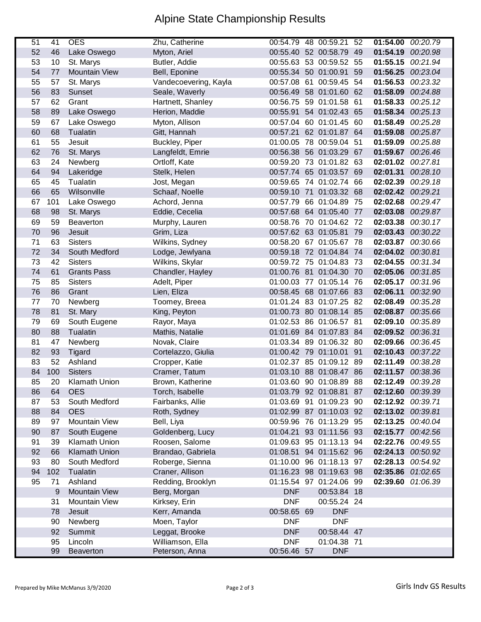## Alpine State Championship Results

| 51 | 41  | <b>OES</b>           | Zhu, Catherine        |                      | 00:54.79 48 00:59.21 52 |      | 01:54.00          | 00:20.79 |
|----|-----|----------------------|-----------------------|----------------------|-------------------------|------|-------------------|----------|
| 52 | 46  | Lake Oswego          | Myton, Ariel          |                      | 00:55.40 52 00:58.79    | 49   | 01:54.19          | 00:20.98 |
| 53 | 10  | St. Marys            | Butler, Addie         |                      | 00:55.63 53 00:59.52 55 |      | 01:55.15          | 00:21.94 |
| 54 | 77  | <b>Mountain View</b> | Bell, Eponine         | 00:55.34 50 01:00.91 |                         | 59   | 01:56.25          | 00:23.04 |
| 55 | 57  | St. Marys            | Vandecoevering, Kayla |                      | 00:57.08 61 00:59.45 54 |      | 01:56.53          | 00:23.32 |
| 56 | 83  | Sunset               | Seale, Waverly        |                      | 00:56.49 58 01:01.60 62 |      | 01:58.09          | 00:24.88 |
| 57 | 62  | Grant                | Hartnett, Shanley     |                      | 00:56.75 59 01:01.58 61 |      | 01:58.33          | 00:25.12 |
| 58 | 89  | Lake Oswego          | Herion, Maddie        |                      | 00:55.91 54 01:02.43 65 |      | 01:58.34          | 00:25.13 |
| 59 | 67  | Lake Oswego          | Myton, Allison        |                      | 00:57.04 60 01:01.45 60 |      | 01:58.49          | 00:25.28 |
| 60 | 68  | Tualatin             | Gitt, Hannah          |                      | 00:57.21 62 01:01.87 64 |      | 01:59.08          | 00:25.87 |
| 61 | 55  | Jesuit               | Buckley, Piper        |                      | 01:00.05 78 00:59.04    | -51  | 01:59.09          | 00:25.88 |
| 62 | 76  | St. Marys            | Langfeldt, Emrie      |                      | 00:56.38 56 01:03.29 67 |      | 01:59.67          | 00:26.46 |
| 63 | 24  | Newberg              | Ortloff, Kate         |                      | 00:59.20 73 01:01.82 63 |      | 02:01.02          | 00:27.81 |
| 64 | 94  | Lakeridge            | Stelk, Helen          |                      | 00:57.74 65 01:03.57 69 |      | 02:01.31 00:28.10 |          |
| 65 | 45  | Tualatin             | Jost, Megan           |                      | 00:59.65 74 01:02.74 66 |      | 02:02.39          | 00:29.18 |
| 66 | 65  | Wilsonville          | Schaaf, Noelle        |                      | 00:59.10 71 01:03.32 68 |      | 02:02.42 00:29.21 |          |
| 67 | 101 | Lake Oswego          | Achord, Jenna         |                      | 00:57.79 66 01:04.89 75 |      | 02:02.68          | 00:29.47 |
| 68 | 98  | St. Marys            | Eddie, Cecelia        |                      | 00:57.68 64 01:05.40    | - 77 | 02:03.08          | 00:29.87 |
| 69 | 59  | <b>Beaverton</b>     | Murphy, Lauren        |                      | 00:58.76 70 01:04.62 72 |      | 02:03.38          | 00:30.17 |
| 70 | 96  | Jesuit               | Grim, Liza            | 00:57.62 63 01:05.81 |                         | 79   | 02:03.43 00:30.22 |          |
| 71 | 63  | <b>Sisters</b>       | Wilkins, Sydney       |                      | 00:58.20 67 01:05.67 78 |      | 02:03.87 00:30.66 |          |
| 72 | 34  | South Medford        | Lodge, Jewlyana       |                      | 00:59.18 72 01:04.84 74 |      | 02:04.02 00:30.81 |          |
| 73 | 42  | <b>Sisters</b>       | Wilkins, Skylar       |                      | 00:59.72 75 01:04.83 73 |      | 02:04.55 00:31.34 |          |
| 74 | 61  | <b>Grants Pass</b>   | Chandler, Hayley      |                      | 01:00.76 81 01:04.30 70 |      | 02:05.06 00:31.85 |          |
| 75 | 85  | <b>Sisters</b>       | Adelt, Piper          |                      | 01:00.03 77 01:05.14 76 |      | 02:05.17          | 00:31.96 |
| 76 | 86  | Grant                | Lien, Eliza           |                      | 00:58.45 68 01:07.66 83 |      | 02:06.11          | 00:32.90 |
| 77 | 70  | Newberg              | Toomey, Breea         |                      | 01:01.24 83 01:07.25 82 |      | 02:08.49          | 00:35.28 |
| 78 | 81  | St. Mary             | King, Peyton          |                      | 01:00.73 80 01:08.14 85 |      | 02:08.87          | 00:35.66 |
| 79 | 69  | South Eugene         | Rayor, Maya           |                      | 01:02.53 86 01:06.57 81 |      | 02:09.10          | 00:35.89 |
| 80 | 88  | Tualatin             | Mathis, Natalie       |                      | 01:01.69 84 01:07.83 84 |      | 02:09.52 00:36.31 |          |
| 81 | 47  | Newberg              | Novak, Claire         |                      | 01:03.34 89 01:06.32 80 |      | 02:09.66 00:36.45 |          |
| 82 | 93  | Tigard               | Cortelazzo, Giulia    |                      | 01:00.42 79 01:10.01 91 |      | 02:10.43 00:37.22 |          |
| 83 | 52  | Ashland              | Cropper, Katie        |                      | 01:02.37 85 01:09.12 89 |      | 02:11.49          | 00:38.28 |
| 84 | 100 | <b>Sisters</b>       | Cramer, Tatum         |                      | 01:03.10 88 01:08.47 86 |      | 02:11.57          | 00:38.36 |
| 85 | 20  | Klamath Union        | Brown, Katherine      |                      | 01:03.60 90 01:08.89 88 |      | 02:12.49 00:39.28 |          |
| 86 | 64  | <b>OES</b>           | Torch, Isabelle       |                      | 01:03.79 92 01:08.81 87 |      | 02:12.60 00:39.39 |          |
| 87 | 53  | South Medford        | Fairbanks, Allie      |                      | 01:03.69 91 01:09.23 90 |      | 02:12.92 00:39.71 |          |
| 88 | 84  | <b>OES</b>           | Roth, Sydney          |                      | 01:02.99 87 01:10.03 92 |      | 02:13.02 00:39.81 |          |
| 89 | 97  | Mountain View        | Bell, Liya            |                      | 00:59.96 76 01:13.29 95 |      | 02:13.25 00:40.04 |          |
| 90 | 87  | South Eugene         | Goldenberg, Lucy      |                      | 01:04.21 93 01:11.56 93 |      | 02:15.77 00:42.56 |          |
| 91 | 39  | Klamath Union        | Roosen, Salome        |                      | 01:09.63 95 01:13.13 94 |      | 02:22.76 00:49.55 |          |
| 92 | 66  | <b>Klamath Union</b> | Brandao, Gabriela     |                      | 01:08.51 94 01:15.62 96 |      | 02:24.13 00:50.92 |          |
| 93 | 80  | South Medford        | Roberge, Sienna       |                      | 01:10.00 96 01:18.13 97 |      | 02:28.13 00:54.92 |          |
| 94 | 102 | Tualatin             | Craner, Allison       |                      | 01:16.23 98 01:19.63 98 |      | 02:35.86 01:02.65 |          |
| 95 | 71  | Ashland              | Redding, Brooklyn     |                      | 01:15.54 97 01:24.06 99 |      | 02:39.60 01:06.39 |          |
|    | 9   | Mountain View        | Berg, Morgan          | <b>DNF</b>           | 00:53.84 18             |      |                   |          |
|    | 31  | <b>Mountain View</b> | Kirksey, Erin         | <b>DNF</b>           | 00:55.24 24             |      |                   |          |
|    | 78  | Jesuit               | Kerr, Amanda          | 00:58.65 69          | <b>DNF</b>              |      |                   |          |
|    | 90  | Newberg              | Moen, Taylor          | <b>DNF</b>           | <b>DNF</b>              |      |                   |          |
|    | 92  | Summit               | Leggat, Brooke        | <b>DNF</b>           | 00:58.44 47             |      |                   |          |
|    | 95  | Lincoln              | Williamson, Ella      | <b>DNF</b>           | 01:04.38 71             |      |                   |          |
|    | 99  | Beaverton            | Peterson, Anna        | 00:56.46 57          | <b>DNF</b>              |      |                   |          |